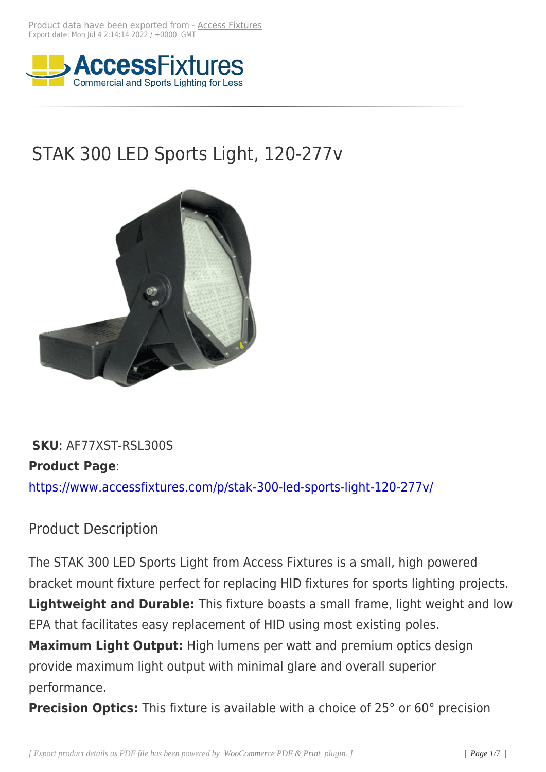

# STAK 300 LED Sports Light, 120-277v



## **SKU**: AF77XST-RSL300S

#### **Product Page**:

https://www.accessfixtures.com/p/stak-300-led-sports-light-120-277v/

### [Product Description](https://www.accessfixtures.com/p/stak-300-led-sports-light-120-277v/)

The STAK 300 LED Sports Light from Access Fixtures is a small, high powered bracket mount fixture perfect for replacing HID fixtures for sports lighting projects. **Lightweight and Durable:** This fixture boasts a small frame, light weight and low EPA that facilitates easy replacement of HID using most existing poles. **Maximum Light Output:** High lumens per watt and premium optics design provide maximum light output with minimal glare and overall superior performance.

**Precision Optics:** This fixture is available with a choice of 25° or 60° precision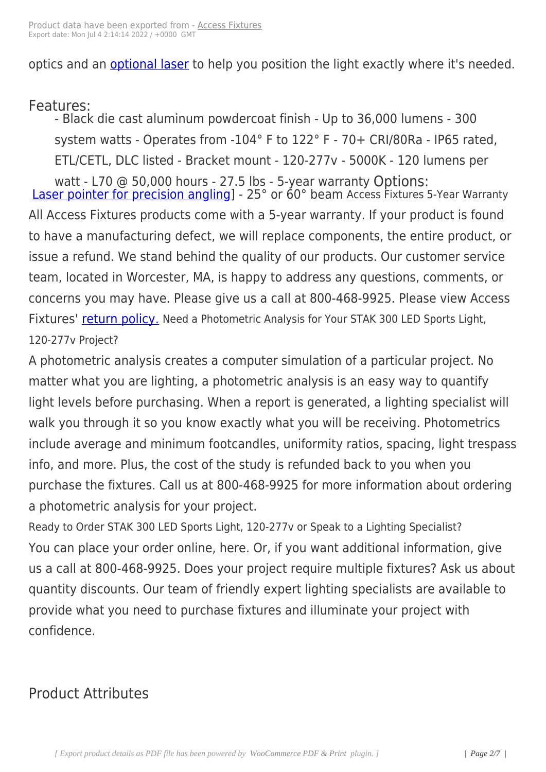optics and an **optional laser** t[o help you p](https://www.accessfixtures.com/?post_type=product&p=96785)osition the light exactly where it's needed.

Features:

- Black di[e cast aluminu](https://www.accessfixtures.com/p/laser-beam-positioning-accessory-for-staj-sports-lights/)m powdercoat finish - Up to 36,000 lumens - 300 system watts - Operates from -104° F to 122° F - 70+ CRI/80Ra - IP65 rated, ETL/CETL, DLC listed - Bracket mount - 120-277v - 5000K - 120 lumens per watt - L70 @ 50,000 hours - 27.5 lbs - 5-year warranty Options: Laser pointer for precision angling] - 25° or 60° beam Access Fixtures 5-Year Warranty All Access Fixtures products come with a 5-year warranty. If your product is found [to have a manufacturing defect, we](https://www.accessfixtures.com/p/laser-beam-positioning-accessory-for-staj-sports-lights/) will replace components, the entire product, or issue a refund. We stand behind the quality of our products. Our customer service team, located in Worcester, MA, is happy to address any questions, comments, or concerns you may have. Please give us a call at 800-468-9925. Please view Access Fixtures' return policy. Need a Photometric Analysis for Your STAK 300 LED Sports Light, 120-277v Project?

A photo[metric analysis](https://www.accessfixtures.com/return-policy/) creates a computer simulation of a particular project. No matter what you are lighting, a photometric analysis is an easy way to quantify light levels before purchasing. When a report is generated, a lighting specialist will walk you through it so you know exactly what you will be receiving. Photometrics include average and minimum footcandles, uniformity ratios, spacing, light trespass info, and more. Plus, the cost of the study is refunded back to you when you purchase the fixtures. Call us at 800-468-9925 for more information about ordering a photometric analysis for your project.

Ready to Order STAK 300 LED Sports Light, 120-277v or Speak to a Lighting Specialist? You can place your order online, here. Or, if you want additional information, give us a call at 800-468-9925. Does your project require multiple fixtures? Ask us about quantity discounts. Our team of friendly expert lighting specialists are available to provide what you need to purchase fixtures and illuminate your project with confidence.

## Product Attributes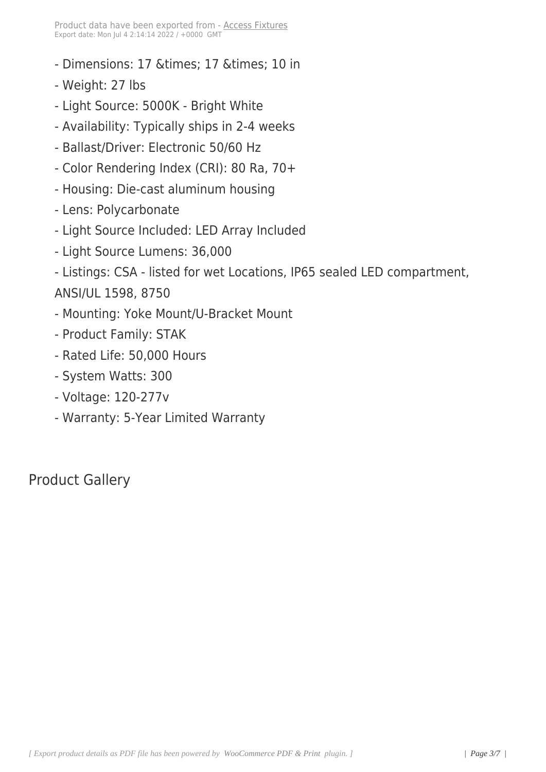- Dimensions: 17 & times; 17 & times; 10 in
- Weight: 27 lbs
- Light Source: 5000K Bright White
- Availability: Typically ships in 2-4 weeks
- Ballast/Driver: Electronic 50/60 Hz
- Color Rendering Index (CRI): 80 Ra, 70+
- Housing: Die-cast aluminum housing
- Lens: Polycarbonate
- Light Source Included: LED Array Included
- Light Source Lumens: 36,000
- Listings: CSA listed for wet Locations, IP65 sealed LED compartment,

ANSI/UL 1598, 8750

- Mounting: Yoke Mount/U-Bracket Mount
- Product Family: STAK
- Rated Life: 50,000 Hours
- System Watts: 300
- Voltage: 120-277v
- Warranty: 5-Year Limited Warranty

Product Gallery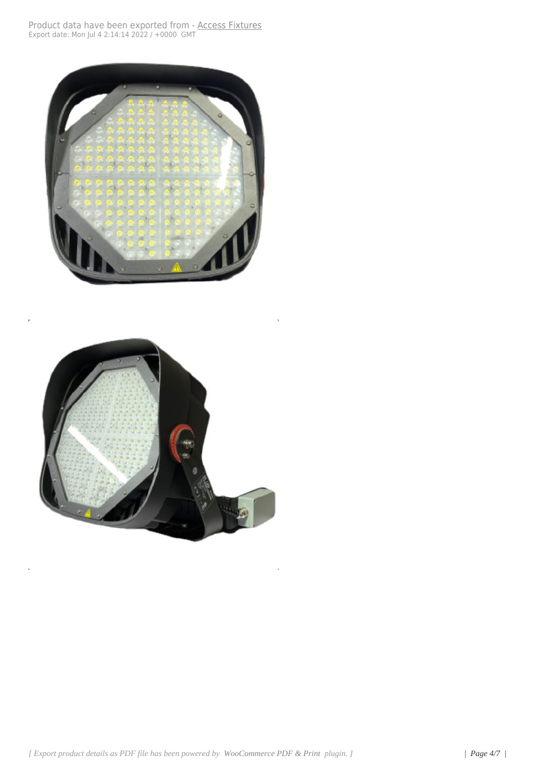

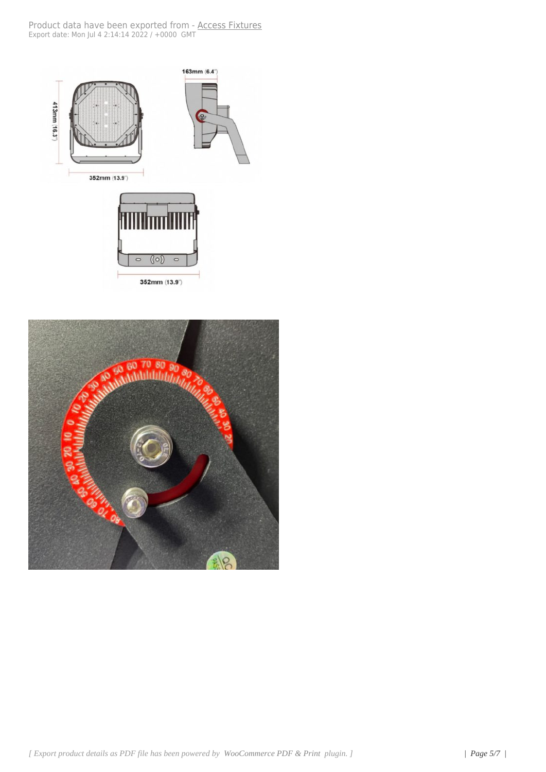

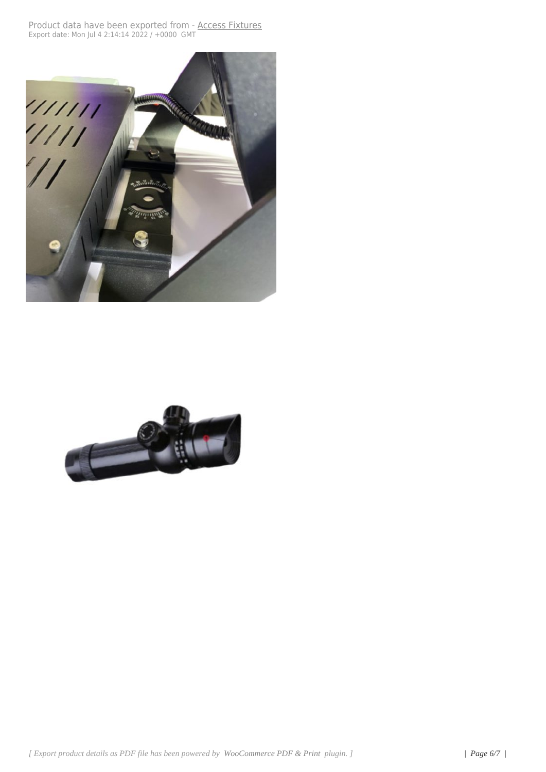